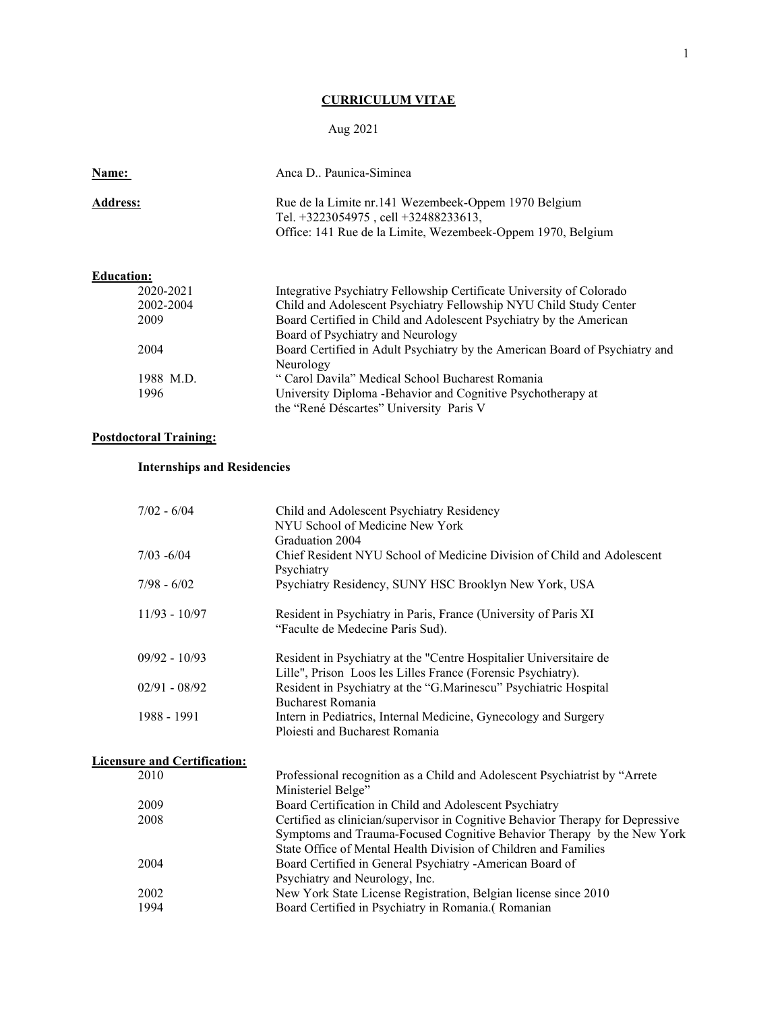# **CURRICULUM VITAE**

# Aug 2021

| Name:           | Anca D., Paunica-Siminea                                                                                                                                          |
|-----------------|-------------------------------------------------------------------------------------------------------------------------------------------------------------------|
| <b>Address:</b> | Rue de la Limite nr.141 Wezembeek-Oppem 1970 Belgium<br>Tel. $+3223054975$ . cell $+32488233613$ .<br>Office: 141 Rue de la Limite, Wezembeek-Oppem 1970, Belgium |

| <b>Education:</b> |                                                                             |
|-------------------|-----------------------------------------------------------------------------|
| 2020-2021         | Integrative Psychiatry Fellowship Certificate University of Colorado        |
| 2002-2004         | Child and Adolescent Psychiatry Fellowship NYU Child Study Center           |
| 2009              | Board Certified in Child and Adolescent Psychiatry by the American          |
|                   | Board of Psychiatry and Neurology                                           |
| 2004              | Board Certified in Adult Psychiatry by the American Board of Psychiatry and |
|                   | Neurology                                                                   |
| 1988 M.D.         | " Carol Davila" Medical School Bucharest Romania                            |
| 1996              | University Diploma - Behavior and Cognitive Psychotherapy at                |
|                   | the "René Déscartes" University Paris V                                     |

# **Postdoctoral Training:**

# **Internships and Residencies**

| $7/02 - 6/04$                       | Child and Adolescent Psychiatry Residency<br>NYU School of Medicine New York<br>Graduation 2004                                                                                                                             |
|-------------------------------------|-----------------------------------------------------------------------------------------------------------------------------------------------------------------------------------------------------------------------------|
| $7/03 - 6/04$                       | Chief Resident NYU School of Medicine Division of Child and Adolescent<br>Psychiatry                                                                                                                                        |
| $7/98 - 6/02$                       | Psychiatry Residency, SUNY HSC Brooklyn New York, USA                                                                                                                                                                       |
| $11/93 - 10/97$                     | Resident in Psychiatry in Paris, France (University of Paris XI<br>"Faculte de Medecine Paris Sud).                                                                                                                         |
| $09/92 - 10/93$                     | Resident in Psychiatry at the "Centre Hospitalier Universitaire de<br>Lille", Prison Loos les Lilles France (Forensic Psychiatry).                                                                                          |
| $02/91 - 08/92$                     | Resident in Psychiatry at the "G.Marinescu" Psychiatric Hospital<br>Bucharest Romania                                                                                                                                       |
| 1988 - 1991                         | Intern in Pediatrics, Internal Medicine, Gynecology and Surgery<br>Ploiesti and Bucharest Romania                                                                                                                           |
| <b>Licensure and Certification:</b> |                                                                                                                                                                                                                             |
| 2010                                | Professional recognition as a Child and Adolescent Psychiatrist by "Arrete<br>Ministeriel Belge"                                                                                                                            |
| 2009                                | Board Certification in Child and Adolescent Psychiatry                                                                                                                                                                      |
| 2008                                | Certified as clinician/supervisor in Cognitive Behavior Therapy for Depressive<br>Symptoms and Trauma-Focused Cognitive Behavior Therapy by the New York<br>State Office of Mental Health Division of Children and Families |
| 2004                                | Board Certified in General Psychiatry -American Board of<br>Psychiatry and Neurology, Inc.                                                                                                                                  |
| 2002                                | New York State License Registration, Belgian license since 2010                                                                                                                                                             |
| 1994                                | Board Certified in Psychiatry in Romania.(Romanian                                                                                                                                                                          |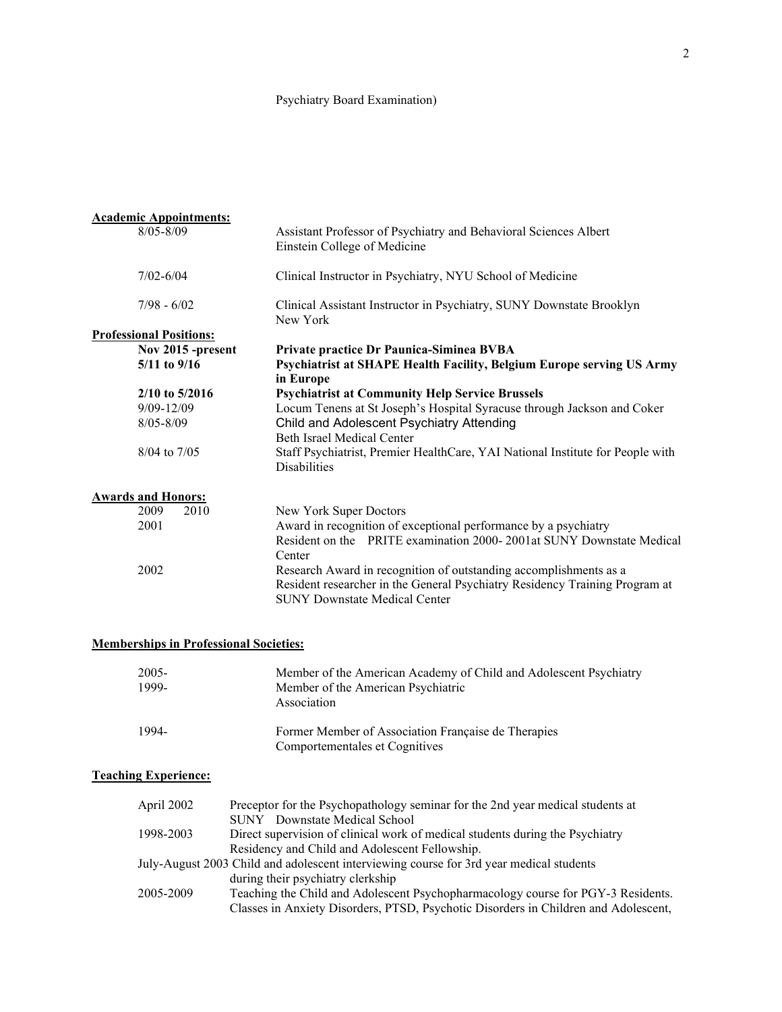## Psychiatry Board Examination)

| <b>Academic Appointments:</b>  |                                                                                                                     |
|--------------------------------|---------------------------------------------------------------------------------------------------------------------|
| $8/05 - 8/09$                  | Assistant Professor of Psychiatry and Behavioral Sciences Albert<br>Einstein College of Medicine                    |
| $7/02 - 6/04$                  | Clinical Instructor in Psychiatry, NYU School of Medicine                                                           |
| $7/98 - 6/02$                  | Clinical Assistant Instructor in Psychiatry, SUNY Downstate Brooklyn<br>New York                                    |
| <b>Professional Positions:</b> |                                                                                                                     |
| Nov 2015 -present              | Private practice Dr Paunica-Siminea BVBA                                                                            |
| 5/11 to 9/16                   | Psychiatrist at SHAPE Health Facility, Belgium Europe serving US Army                                               |
|                                | in Europe                                                                                                           |
| $2/10$ to 5/2016               | <b>Psychiatrist at Community Help Service Brussels</b>                                                              |
| $9/09 - 12/09$                 | Locum Tenens at St Joseph's Hospital Syracuse through Jackson and Coker                                             |
| $8/05 - 8/09$                  | Child and Adolescent Psychiatry Attending                                                                           |
|                                | <b>Beth Israel Medical Center</b>                                                                                   |
| 8/04 to 7/05                   | Staff Psychiatrist, Premier HealthCare, YAI National Institute for People with<br><b>Disabilities</b>               |
| <b>Awards and Honors:</b>      |                                                                                                                     |
| 2010<br>2009                   | New York Super Doctors                                                                                              |
| 2001                           | Award in recognition of exceptional performance by a psychiatry                                                     |
|                                | Resident on the PRITE examination 2000-2001at SUNY Downstate Medical                                                |
|                                | Center                                                                                                              |
| 2002                           | Research Award in recognition of outstanding accomplishments as a                                                   |
|                                | Resident researcher in the General Psychiatry Residency Training Program at<br><b>SUNY Downstate Medical Center</b> |

## **Memberships in Professional Societies:**

| 2005-<br>1999- | Member of the American Academy of Child and Adolescent Psychiatry<br>Member of the American Psychiatric<br>Association |
|----------------|------------------------------------------------------------------------------------------------------------------------|
| 1994-          | Former Member of Association Française de Therapies<br>Comportementales et Cognitives                                  |

# **Teaching Experience:**

| April 2002 | Preceptor for the Psychopathology seminar for the 2nd year medical students at<br><b>SUNY</b> Downstate Medical School |
|------------|------------------------------------------------------------------------------------------------------------------------|
| 1998-2003  | Direct supervision of clinical work of medical students during the Psychiatry                                          |
|            | Residency and Child and Adolescent Fellowship.                                                                         |
|            | July-August 2003 Child and adolescent interviewing course for 3rd year medical students                                |
|            | during their psychiatry clerkship                                                                                      |
| 2005-2009  | Teaching the Child and Adolescent Psychopharmacology course for PGY-3 Residents.                                       |
|            | Classes in Anxiety Disorders, PTSD, Psychotic Disorders in Children and Adolescent,                                    |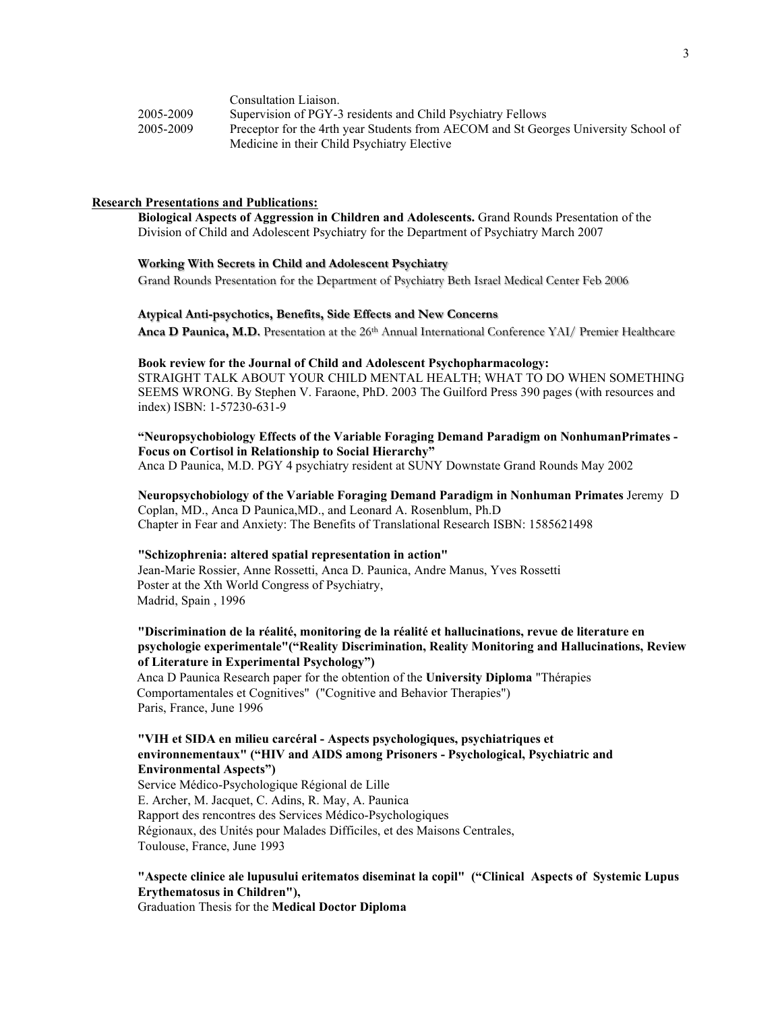|           | Consultation Liaison.                                                               |
|-----------|-------------------------------------------------------------------------------------|
| 2005-2009 | Supervision of PGY-3 residents and Child Psychiatry Fellows                         |
| 2005-2009 | Preceptor for the 4rth year Students from AECOM and St Georges University School of |
|           | Medicine in their Child Psychiatry Elective                                         |

### **Research Presentations and Publications:**

**Biological Aspects of Aggression in Children and Adolescents.** Grand Rounds Presentation of the Division of Child and Adolescent Psychiatry for the Department of Psychiatry March 2007

### **Working With Secrets in Child and Adolescent Psychiatry**

Grand Rounds Presentation for the Department of Psychiatry Beth Israel Medical Center Feb 2006

### **Atypical Anti-psychotics, Benefits, Side Effects and New Concerns**

Anca D Paunica, M.D. Presentation at the 26<sup>th</sup> Annual International Conference YAI/ Premier Healthcare

#### **Book review for the Journal of Child and Adolescent Psychopharmacology:**

STRAIGHT TALK ABOUT YOUR CHILD MENTAL HEALTH; WHAT TO DO WHEN SOMETHING SEEMS WRONG. By Stephen V. Faraone, PhD. 2003 The Guilford Press 390 pages (with resources and index) ISBN: 1-57230-631-9

# **"Neuropsychobiology Effects of the Variable Foraging Demand Paradigm on NonhumanPrimates - Focus on Cortisol in Relationship to Social Hierarchy"**

Anca D Paunica, M.D. PGY 4 psychiatry resident at SUNY Downstate Grand Rounds May 2002

### **Neuropsychobiology of the Variable Foraging Demand Paradigm in Nonhuman Primates** Jeremy D Coplan, MD., Anca D Paunica,MD., and Leonard A. Rosenblum, Ph.D Chapter in Fear and Anxiety: The Benefits of Translational Research ISBN: 1585621498

### **"Schizophrenia: altered spatial representation in action"**

Jean-Marie Rossier, Anne Rossetti, Anca D. Paunica, Andre Manus, Yves Rossetti Poster at the Xth World Congress of Psychiatry, Madrid, Spain , 1996

## **"Discrimination de la réalité, monitoring de la réalité et hallucinations, revue de literature en psychologie experimentale"("Reality Discrimination, Reality Monitoring and Hallucinations, Review of Literature in Experimental Psychology")**

Anca D Paunica Research paper for the obtention of the **University Diploma** "Thérapies Comportamentales et Cognitives" ("Cognitive and Behavior Therapies") Paris, France, June 1996

### **"VIH et SIDA en milieu carcéral - Aspects psychologiques, psychiatriques et environnementaux" ("HIV and AIDS among Prisoners - Psychological, Psychiatric and Environmental Aspects")**

Service Médico-Psychologique Régional de Lille E. Archer, M. Jacquet, C. Adins, R. May, A. Paunica Rapport des rencontres des Services Médico-Psychologiques Régionaux, des Unités pour Malades Difficiles, et des Maisons Centrales, Toulouse, France, June 1993

## **"Aspecte clinice ale lupusului eritematos diseminat la copil" ("Clinical Aspects of Systemic Lupus Erythematosus in Children"),**

Graduation Thesis for the **Medical Doctor Diploma**